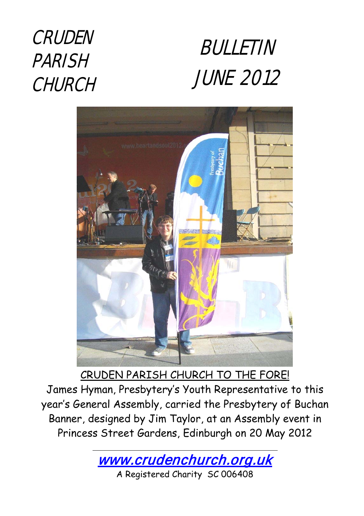## CRUDEN PARISH **CHURCH**





CRUDEN PARISH CHURCH TO THE FORE! James Hyman, Presbytery's Youth Representative to this year's General Assembly, carried the Presbytery of Buchan Banner, designed by Jim Taylor, at an Assembly event in Princess Street Gardens, Edinburgh on 20 May 2012

[www.crudenchurch.org.uk](http://www.crudenchurch.org.uk/) 

A Registered Charity SC 006408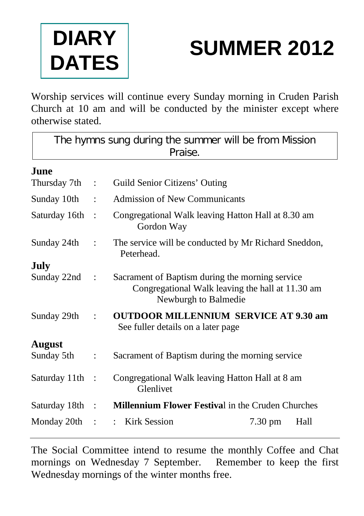

# **SUMMER 2012**

Worship services will continue every Sunday morning in Cruden Parish Church at 10 am and will be conducted by the minister except where otherwise stated.

| The hymns sung during the summer will be from Mission |                      |                                                                                                                             |                   |      |  |  |
|-------------------------------------------------------|----------------------|-----------------------------------------------------------------------------------------------------------------------------|-------------------|------|--|--|
| Praise.                                               |                      |                                                                                                                             |                   |      |  |  |
| June                                                  |                      |                                                                                                                             |                   |      |  |  |
| Thursday 7th                                          | $\ddot{\cdot}$       | Guild Senior Citizens' Outing                                                                                               |                   |      |  |  |
| Sunday 10th                                           |                      | <b>Admission of New Communicants</b>                                                                                        |                   |      |  |  |
| Saturday 16th                                         | $\ddot{\cdot}$       | Congregational Walk leaving Hatton Hall at 8.30 am<br>Gordon Way                                                            |                   |      |  |  |
| Sunday 24th                                           | $\ddot{\phantom{a}}$ | The service will be conducted by Mr Richard Sneddon,<br>Peterhead.                                                          |                   |      |  |  |
| <b>July</b>                                           |                      |                                                                                                                             |                   |      |  |  |
| Sunday 22nd                                           | $\ddot{\cdot}$       | Sacrament of Baptism during the morning service<br>Congregational Walk leaving the hall at 11.30 am<br>Newburgh to Balmedie |                   |      |  |  |
| Sunday 29th                                           |                      | <b>OUTDOOR MILLENNIUM SERVICE AT 9.30 am</b><br>See fuller details on a later page                                          |                   |      |  |  |
| <b>August</b>                                         |                      |                                                                                                                             |                   |      |  |  |
| Sunday 5th                                            | $\ddot{\cdot}$       | Sacrament of Baptism during the morning service                                                                             |                   |      |  |  |
| Saturday 11th                                         | $\cdot$ :            | Congregational Walk leaving Hatton Hall at 8 am<br>Glenlivet                                                                |                   |      |  |  |
| Saturday 18th                                         | $\mathbb{R}^2$       | <b>Millennium Flower Festival in the Cruden Churches</b>                                                                    |                   |      |  |  |
| Monday 20th                                           |                      | Kirk Session                                                                                                                | $7.30 \text{ pm}$ | Hall |  |  |

The Social Committee intend to resume the monthly Coffee and Chat mornings on Wednesday 7 September. Remember to keep the first Wednesday mornings of the winter months free.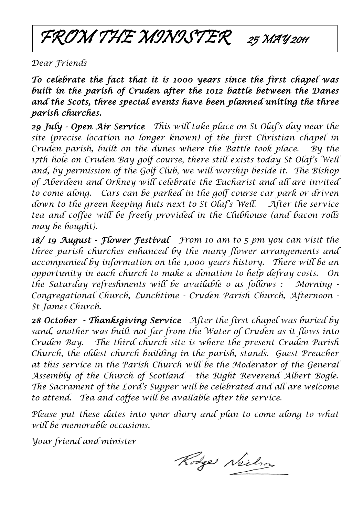FROM THE MINISTER 25 MAY 2011

*Dear Friends* 

*To celebrate the fact that it is 1000 years since the first chapel was built in the parish of Cruden after the 1012 battle between the Danes and the Scots, three special events have been planned uniting the three parish churches.* 

*29 July - Open Air Service This will take place on St Olaf's day near the site (precise location no longer known) of the first Christian chapel in Cruden parish, built on the dunes where the Battle took place. By the 17th hole on Cruden Bay golf course, there still exists today St Olaf's Well and, by permission of the Golf Club, we will worship beside it. The Bishop of Aberdeen and Orkney will celebrate the Eucharist and all are invited to come along. Cars can be parked in the golf course car park or driven down to the green keeping huts next to St Olaf's Well. After the service tea and coffee will be freely provided in the Clubhouse (and bacon rolls may be bought).*

*18/ 19 August - Flower Festival From 10 am to 5 pm you can visit the three parish churches enhanced by the many flower arrangements and accompanied by information on the 1,000 years history. There will be an opportunity in each church to make a donation to help defray costs. On the Saturday refreshments will be available o as follows : Morning - Congregational Church, Lunchtime - Cruden Parish Church, Afternoon - St James Church.*

*28 October - Thanksgiving Service After the first chapel was buried by sand, another was built not far from the Water of Cruden as it flows into Cruden Bay. The third church site is where the present Cruden Parish Church, the oldest church building in the parish, stands. Guest Preacher at this service in the Parish Church will be the Moderator of the General Assembly of the Church of Scotland – the Right Reverend Albert Bogle. The Sacrament of the Lord's Supper will be celebrated and all are welcome to attend. Tea and coffee will be available after the service.*

*Please put these dates into your diary and plan to come along to what will be memorable occasions.*

*Your friend and minister*

Rodge Neilson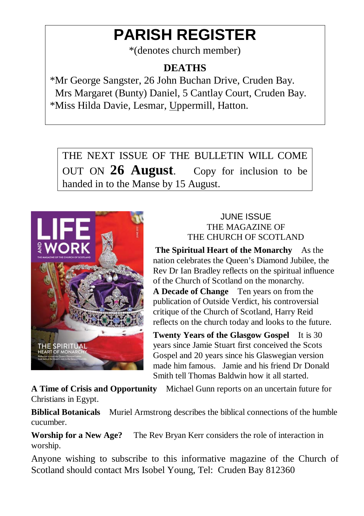### **PARISH REGISTER**

\*(denotes church member)

#### **DEATHS**

\*Mr George Sangster, 26 John Buchan Drive, Cruden Bay. Mrs Margaret (Bunty) Daniel, 5 Cantlay Court, Cruden Bay. \*Miss Hilda Davie, Lesmar, Uppermill, Hatton.

THE NEXT ISSUE OF THE BULLETIN WILL COME OUT ON **26 August**. Copy for inclusion to be handed in to the Manse by 15 August.



#### JUNE ISSUE THE MAGAZINE OF THE CHURCH OF SCOTLAND

**The Spiritual Heart of the Monarchy** As the nation celebrates the Queen's Diamond Jubilee, the Rev Dr Ian Bradley reflects on the spiritual influence of the Church of Scotland on the monarchy. **A Decade of Change** Ten years on from the publication of Outside Verdict, his controversial critique of the Church of Scotland, Harry Reid reflects on the church today and looks to the future.

**Twenty Years of the Glasgow Gospel** It is 30 years since Jamie Stuart first conceived the Scots Gospel and 20 years since his Glaswegian version made him famous. Jamie and his friend Dr Donald Smith tell Thomas Baldwin how it all started.

**A Time of Crisis and Opportunity** Michael Gunn reports on an uncertain future for Christians in Egypt.

**Biblical Botanicals** Muriel Armstrong describes the biblical connections of the humble cucumber.

**Worship for a New Age?** The Rev Bryan Kerr considers the role of interaction in worship.

Anyone wishing to subscribe to this informative magazine of the Church of Scotland should contact Mrs Isobel Young, Tel: Cruden Bay 812360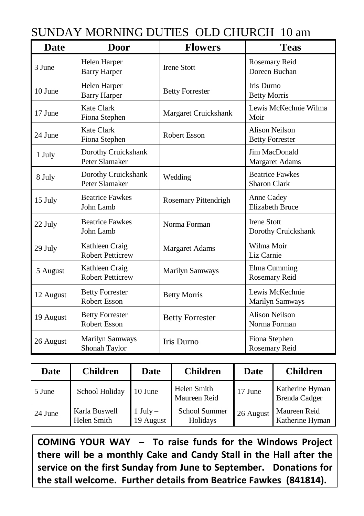| <b>Date</b> | <b>Door</b>                                   | <b>Flowers</b>         | <b>Teas</b>                               |  |
|-------------|-----------------------------------------------|------------------------|-------------------------------------------|--|
| 3 June      | Helen Harper<br><b>Barry Harper</b>           | <b>Irene Stott</b>     | Rosemary Reid<br>Doreen Buchan            |  |
| 10 June     | Helen Harper<br><b>Barry Harper</b>           | <b>Betty Forrester</b> | Iris Durno<br><b>Betty Morris</b>         |  |
| 17 June     | Kate Clark<br>Fiona Stephen                   | Margaret Cruickshank   | Lewis McKechnie Wilma<br>Moir             |  |
| 24 June     | Kate Clark<br>Fiona Stephen                   | <b>Robert Esson</b>    | Alison Neilson<br><b>Betty Forrester</b>  |  |
| 1 July      | Dorothy Cruickshank<br>Peter Slamaker         |                        | Jim MacDonald<br>Margaret Adams           |  |
| 8 July      | Dorothy Cruickshank<br>Peter Slamaker         | Wedding                | <b>Beatrice Fawkes</b><br>Sharon Clark    |  |
| 15 July     | <b>Beatrice Fawkes</b><br>John Lamb           | Rosemary Pittendrigh   | Anne Cadey<br><b>Elizabeth Bruce</b>      |  |
| 22 July     | <b>Beatrice Fawkes</b><br>John Lamb           | Norma Forman           | <b>Irene Stott</b><br>Dorothy Cruickshank |  |
| 29 July     | Kathleen Craig<br><b>Robert Petticrew</b>     | <b>Margaret Adams</b>  | Wilma Moir<br>Liz Carnie                  |  |
| 5 August    | Kathleen Craig<br><b>Robert Petticrew</b>     | <b>Marilyn Samways</b> | Elma Cumming<br>Rosemary Reid             |  |
| 12 August   | <b>Betty Forrester</b><br><b>Robert Esson</b> | <b>Betty Morris</b>    | Lewis McKechnie<br>Marilyn Samways        |  |
| 19 August   | <b>Betty Forrester</b><br><b>Robert Esson</b> | <b>Betty Forrester</b> | <b>Alison Neilson</b><br>Norma Forman     |  |
| 26 August   | <b>Marilyn Samways</b><br>Shonah Taylor       | Iris Durno             | Fiona Stephen<br>Rosemary Reid            |  |

| Date    | <b>Children</b>              | Date                  | <b>Children</b>             | Date      | <b>Children</b>                  |
|---------|------------------------------|-----------------------|-----------------------------|-----------|----------------------------------|
| 5 June  | School Holiday               | 10 June               | Helen Smith<br>Maureen Reid | 17 June   | Katherine Hyman<br>Brenda Cadger |
| 24 June | Karla Buswell<br>Helen Smith | $July -$<br>19 August | School Summer<br>Holidays   | 26 August | Maureen Reid<br>Katherine Hyman  |

**COMING YOUR WAY – To raise funds for the Windows Project there will be a monthly Cake and Candy Stall in the Hall after the service on the first Sunday from June to September. Donations for the stall welcome. Further details from Beatrice Fawkes (841814).** 

#### SUNDAY MORNING DUTIES OLD CHURCH 10 am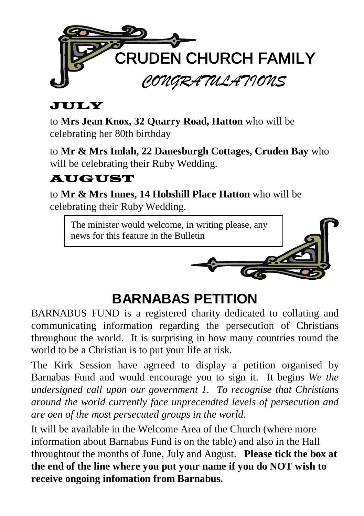

#### JULY

to **Mrs Jean Knox, 32 Quarry Road, Hatton** who will be celebrating her 80th birthday

to **Mr & Mrs Imlah, 22 Danesburgh Cottages, Cruden Bay** who will be celebrating their Ruby Wedding.

#### **AUGUST**

to **Mr & Mrs Innes, 14 Hobshill Place Hatton** who will be celebrating their Ruby Wedding.

The minister would welcome, in writing please, any news for this feature in the Bulletin



### **BARNABAS PETITION**

BARNABUS FUND is a registered charity dedicated to collating and communicating information regarding the persecution of Christians throughout the world. It is surprising in how many countries round the world to be a Christian is to put your life at risk.

The Kirk Session have agrreed to display a petition organised by Barnabas Fund and would encourage you to sign it. It begins *We the undersigned call upon our government 1. To recognise that Christians around the world currently face unprecendted levels of persecution and are oen of the most persecuted groups in the world.*

It will be available in the Welcome Area of the Church (where more information about Barnabus Fund is on the table) and also in the Hall throughtout the months of June, July and August. **Please tick the box at the end of the line where you put your name if you do NOT wish to receive ongoing infomation from Barnabus.**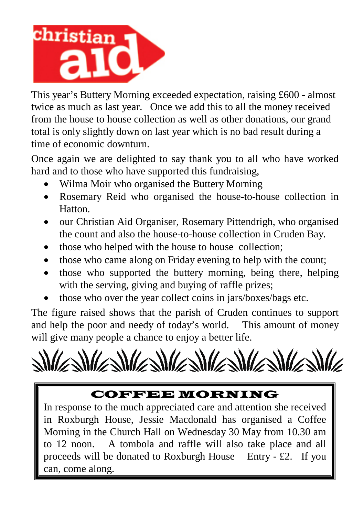

This year's Buttery Morning exceeded expectation, raising £600 - almost twice as much as last year. Once we add this to all the money received from the house to house collection as well as other donations, our grand total is only slightly down on last year which is no bad result during a time of economic downturn.

Once again we are delighted to say thank you to all who have worked hard and to those who have supported this fundraising,

- Wilma Moir who organised the Buttery Morning
- Rosemary Reid who organised the house-to-house collection in Hatton.
- our Christian Aid Organiser, Rosemary Pittendrigh, who organised the count and also the house-to-house collection in Cruden Bay.
- those who helped with the house to house collection;
- those who came along on Friday evening to help with the count;
- those who supported the buttery morning, being there, helping with the serving, giving and buying of raffle prizes;
- those who over the year collect coins in jars/boxes/bags etc.

The figure raised shows that the parish of Cruden continues to support and help the poor and needy of today's world. This amount of money will give many people a chance to enjoy a better life.



#### COFFEE MORNING

In response to the much appreciated care and attention she received in Roxburgh House, Jessie Macdonald has organised a Coffee Morning in the Church Hall on Wednesday 30 May from 10.30 am to 12 noon. A tombola and raffle will also take place and all proceeds will be donated to Roxburgh House Entry - £2. If you can, come along.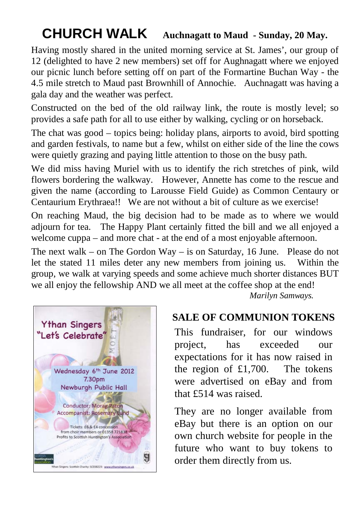### **CHURCH WALK Auchnagatt to Maud - Sunday, 20 May.**

Having mostly shared in the united morning service at St. James', our group of 12 (delighted to have 2 new members) set off for Aughnagatt where we enjoyed our picnic lunch before setting off on part of the Formartine Buchan Way - the 4.5 mile stretch to Maud past Brownhill of Annochie. Auchnagatt was having a gala day and the weather was perfect.

Constructed on the bed of the old railway link, the route is mostly level; so provides a safe path for all to use either by walking, cycling or on horseback.

The chat was good – topics being: holiday plans, airports to avoid, bird spotting and garden festivals, to name but a few, whilst on either side of the line the cows were quietly grazing and paying little attention to those on the busy path.

We did miss having Muriel with us to identify the rich stretches of pink, wild flowers bordering the walkway. However, Annette has come to the rescue and given the name (according to Larousse Field Guide) as Common Centaury or Centaurium Erythraea!! We are not without a bit of culture as we exercise!

On reaching Maud, the big decision had to be made as to where we would adjourn for tea. The Happy Plant certainly fitted the bill and we all enjoyed a welcome cuppa – and more chat - at the end of a most enjoyable afternoon.

The next walk – on The Gordon Way – is on Saturday, 16 June. Please do not let the stated 11 miles deter any new members from joining us. Within the group, we walk at varying speeds and some achieve much shorter distances BUT we all enjoy the fellowship AND we all meet at the coffee shop at the end!

*Marilyn Samways.*



This fundraiser, for our windows project, has exceeded our expectations for it has now raised in the region of £1,700. The tokens were advertised on eBay and from that £514 was raised.

They are no longer available from eBay but there is an option on our own church website for people in the future who want to buy tokens to order them directly from us.

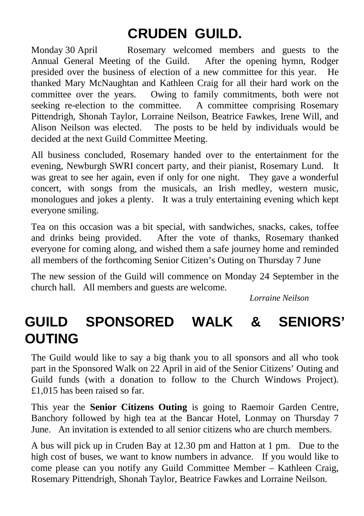### **CRUDEN GUILD.**

Monday 30 April Rosemary welcomed members and guests to the Annual General Meeting of the Guild. After the opening hymn, Rodger presided over the business of election of a new committee for this year. He thanked Mary McNaughtan and Kathleen Craig for all their hard work on the committee over the years. Owing to family commitments, both were not seeking re-election to the committee. A committee comprising Rosemary Pittendrigh, Shonah Taylor, Lorraine Neilson, Beatrice Fawkes, Irene Will, and Alison Neilson was elected. The posts to be held by individuals would be decided at the next Guild Committee Meeting.

All business concluded, Rosemary handed over to the entertainment for the evening, Newburgh SWRI concert party, and their pianist, Rosemary Lund. It was great to see her again, even if only for one night. They gave a wonderful concert, with songs from the musicals, an Irish medley, western music, monologues and jokes a plenty. It was a truly entertaining evening which kept everyone smiling.

Tea on this occasion was a bit special, with sandwiches, snacks, cakes, toffee and drinks being provided. After the vote of thanks, Rosemary thanked everyone for coming along, and wished them a safe journey home and reminded all members of the forthcoming Senior Citizen's Outing on Thursday 7 June

The new session of the Guild will commence on Monday 24 September in the church hall. All members and guests are welcome.

*Lorraine Neilson*

### **GUILD SPONSORED WALK & SENIORS' OUTING**

The Guild would like to say a big thank you to all sponsors and all who took part in the Sponsored Walk on 22 April in aid of the Senior Citizens' Outing and Guild funds (with a donation to follow to the Church Windows Project). £1,015 has been raised so far.

This year the **Senior Citizens Outing** is going to Raemoir Garden Centre, Banchory followed by high tea at the Bancar Hotel, Lonmay on Thursday 7 June. An invitation is extended to all senior citizens who are church members.

A bus will pick up in Cruden Bay at 12.30 pm and Hatton at 1 pm. Due to the high cost of buses, we want to know numbers in advance. If you would like to come please can you notify any Guild Committee Member – Kathleen Craig, Rosemary Pittendrigh, Shonah Taylor, Beatrice Fawkes and Lorraine Neilson.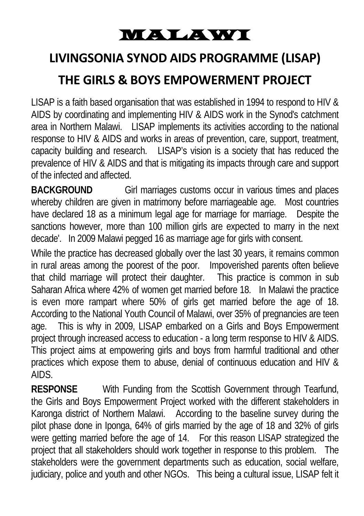### MALAWI

### **LIVINGSONIA SYNOD AIDS PROGRAMME (LISAP)**

#### **THE GIRLS & BOYS EMPOWERMENT PROJECT**

LISAP is a faith based organisation that was established in 1994 to respond to HIV & AIDS by coordinating and implementing HIV & AIDS work in the Synod's catchment area in Northern Malawi. LISAP implements its activities according to the national response to HIV & AIDS and works in areas of prevention, care, support, treatment, capacity building and research. LISAP's vision is a society that has reduced the prevalence of HIV & AIDS and that is mitigating its impacts through care and support of the infected and affected.

**BACKGROUND** Girl marriages customs occur in various times and places whereby children are given in matrimony before marriageable age. Most countries have declared 18 as a minimum legal age for marriage for marriage. Despite the sanctions however, more than 100 million girls are expected to marry in the next decade'. In 2009 Malawi pegged 16 as marriage age for girls with consent.

While the practice has decreased globally over the last 30 years, it remains common in rural areas among the poorest of the poor. Impoverished parents often believe that child marriage will protect their daughter. This practice is common in sub Saharan Africa where 42% of women get married before 18. In Malawi the practice is even more rampart where 50% of girls get married before the age of 18. According to the National Youth Council of Malawi, over 35% of pregnancies are teen age. This is why in 2009, LISAP embarked on a Girls and Boys Empowerment project through increased access to education - a long term response to HIV & AIDS. This project aims at empowering girls and boys from harmful traditional and other practices which expose them to abuse, denial of continuous education and HIV & AIDS.

**RESPONSE** With Funding from the Scottish Government through Tearfund, the Girls and Boys Empowerment Project worked with the different stakeholders in Karonga district of Northern Malawi. According to the baseline survey during the pilot phase done in Iponga, 64% of girls married by the age of 18 and 32% of girls were getting married before the age of 14. For this reason LISAP strategized the project that all stakeholders should work together in response to this problem. The stakeholders were the government departments such as education, social welfare, judiciary, police and youth and other NGOs. This being a cultural issue, LISAP felt it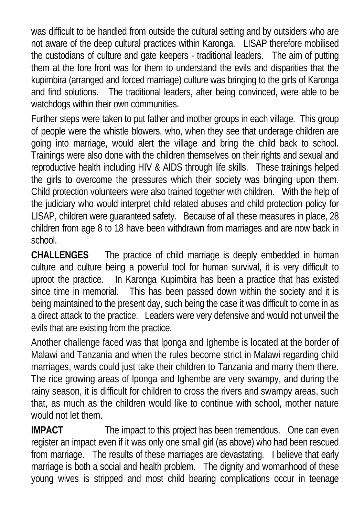was difficult to be handled from outside the cultural setting and by outsiders who are not aware of the deep cultural practices within Karonga. LISAP therefore mobilised the custodians of culture and gate keepers - traditional leaders. The aim of putting them at the fore front was for them to understand the evils and disparities that the kupimbira (arranged and forced marriage) culture was bringing to the girls of Karonga and find solutions. The traditional leaders, after being convinced, were able to be watchdogs within their own communities.

Further steps were taken to put father and mother groups in each village. This group of people were the whistle blowers, who, when they see that underage children are going into marriage, would alert the village and bring the child back to school. Trainings were also done with the children themselves on their rights and sexual and reproductive health including HIV & AIDS through life skills. These trainings helped the girls to overcome the pressures which their society was bringing upon them. Child protection volunteers were also trained together with children. With the help of the judiciary who would interpret child related abuses and child protection policy for LISAP, children were guaranteed safety. Because of all these measures in place, 28 children from age 8 to 18 have been withdrawn from marriages and are now back in school.

**CHALLENGES** The practice of child marriage is deeply embedded in human culture and culture being a powerful tool for human survival, it is very difficult to uproot the practice. In Karonga Kupimbira has been a practice that has existed since time in memorial. This has been passed down within the society and it is being maintained to the present day, such being the case it was difficult to come in as a direct attack to the practice. Leaders were very defensive and would not unveil the evils that are existing from the practice.

Another challenge faced was that lponga and Ighembe is located at the border of Malawi and Tanzania and when the rules become strict in Malawi regarding child marriages, wards could just take their children to Tanzania and marry them there. The rice growing areas of lponga and Ighembe are very swampy, and during the rainy season, it is difficult for children to cross the rivers and swampy areas, such that, as much as the children would like to continue with school, mother nature would not let them.

**IMPACT** The impact to this project has been tremendous. One can even register an impact even if it was only one small girl (as above) who had been rescued from marriage. The results of these marriages are devastating. I believe that early marriage is both a social and health problem. The dignity and womanhood of these young wives is stripped and most child bearing complications occur in teenage